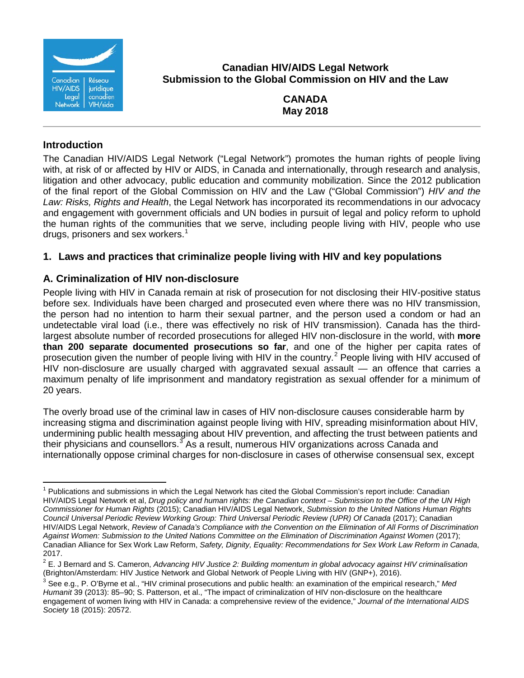

**Canadian HIV/AIDS Legal Network Submission to the Global Commission on HIV and the Law**

> **CANADA May 2018**

### **Introduction**

The Canadian HIV/AIDS Legal Network ("Legal Network") promotes the human rights of people living with, at risk of or affected by HIV or AIDS, in Canada and internationally, through research and analysis, litigation and other advocacy, public education and community mobilization. Since the 2012 publication of the final report of the Global Commission on HIV and the Law ("Global Commission") *HIV and the Law: Risks, Rights and Health*, the Legal Network has incorporated its recommendations in our advocacy and engagement with government officials and UN bodies in pursuit of legal and policy reform to uphold the human rights of the communities that we serve, including people living with HIV, people who use drugs, prisoners and sex workers. [1](#page-0-0)

# **1. Laws and practices that criminalize people living with HIV and key populations**

# **A. Criminalization of HIV non-disclosure**

People living with HIV in Canada remain at risk of prosecution for not disclosing their HIV-positive status before sex. Individuals have been charged and prosecuted even where there was no HIV transmission, the person had no intention to harm their sexual partner, and the person used a condom or had an undetectable viral load (i.e., there was effectively no risk of HIV transmission). Canada has the thirdlargest absolute number of recorded prosecutions for alleged HIV non-disclosure in the world, with **more than 200 separate documented prosecutions so far**, and one of the higher per capita rates of prosecution given the number of people living with HIV in the country.<sup>[2](#page-0-1)</sup> People living with HIV accused of HIV non-disclosure are usually charged with aggravated sexual assault — an offence that carries a maximum penalty of life imprisonment and mandatory registration as sexual offender for a minimum of 20 years.

The overly broad use of the criminal law in cases of HIV non-disclosure causes considerable harm by increasing stigma and discrimination against people living with HIV, spreading misinformation about HIV, undermining public health messaging about HIV prevention, and affecting the trust between patients and their physicians and counsellors.<sup>[3](#page-0-2)</sup> As a result, numerous HIV organizations across Canada and internationally oppose criminal charges for non-disclosure in cases of otherwise consensual sex, except

<span id="page-0-0"></span> $1$  Publications and submissions in which the Legal Network has cited the Global Commission's report include: Canadian HIV/AIDS Legal Network et al, *Drug policy and human rights: the Canadian context – Submission to the Office of the UN High Commissioner for Human Rights* (2015); Canadian HIV/AIDS Legal Network, *Submission to the United Nations Human Rights Council Universal Periodic Review Working Group: Third Universal Periodic Review (UPR) Of Canada* (2017); Canadian HIV/AIDS Legal Network, *Review of Canada's Compliance with the Convention on the Elimination of All Forms of Discrimination Against Women: Submission to the United Nations Committee on the Elimination of Discrimination Against Women* (2017); Canadian Alliance for Sex Work Law Reform, *Safety, Dignity, Equality: Recommendations for Sex Work Law Reform in Canada*, 2017.  $\overline{1}$ 

<span id="page-0-1"></span><sup>2</sup> E. J Bernard and S. Cameron, *Advancing HIV Justice 2: Building momentum in global advocacy against HIV criminalisation*  (Brighton/Amsterdam: HIV Justice Network and Global Network of People Living with HIV (GNP+), 2016).

<span id="page-0-2"></span><sup>3</sup> See e.g., P. O'Byrne et al., "HIV criminal prosecutions and public health: an examination of the empirical research," *Med Humanit* 39 (2013): 85–90; S. Patterson, et al., "The impact of criminalization of HIV non-disclosure on the healthcare engagement of women living with HIV in Canada: a comprehensive review of the evidence," *Journal of the International AIDS Society* 18 (2015): 20572.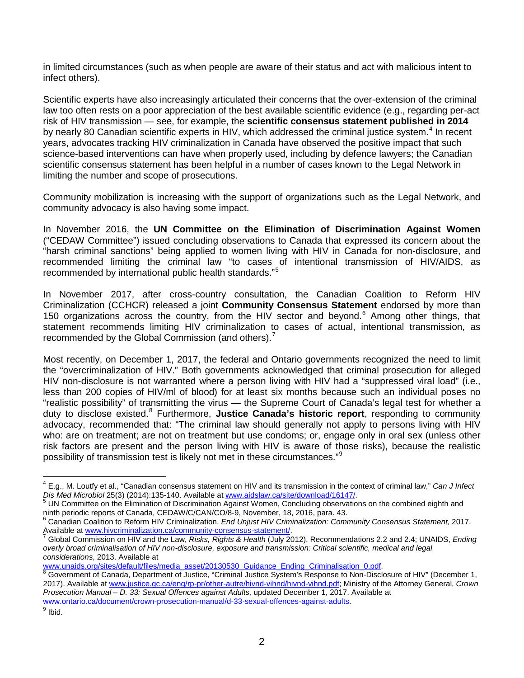in limited circumstances (such as when people are aware of their status and act with malicious intent to infect others).

Scientific experts have also increasingly articulated their concerns that the over-extension of the criminal law too often rests on a poor appreciation of the best available scientific evidence (e.g., regarding per-act risk of HIV transmission — see, for example, the **scientific consensus statement published in 2014** by nearly 80 Canadian scientific experts in HIV, which addressed the criminal justice system.<sup>[4](#page-1-0)</sup> In recent years, advocates tracking HIV criminalization in Canada have observed the positive impact that such science-based interventions can have when properly used, including by defence lawyers; the Canadian scientific consensus statement has been helpful in a number of cases known to the Legal Network in limiting the number and scope of prosecutions.

Community mobilization is increasing with the support of organizations such as the Legal Network, and community advocacy is also having some impact.

In November 2016, the **UN Committee on the Elimination of Discrimination Against Women** ("CEDAW Committee") issued concluding observations to Canada that expressed its concern about the "harsh criminal sanctions" being applied to women living with HIV in Canada for non-disclosure, and recommended limiting the criminal law "to cases of intentional transmission of HIV/AIDS, as recommended by international public health standards."[5](#page-1-1)

In November 2017, after cross-country consultation, the Canadian Coalition to Reform HIV Criminalization (CCHCR) released a joint **Community Consensus Statement** endorsed by more than 150 organizations across the country, from the HIV sector and beyond.<sup>[6](#page-1-2)</sup> Among other things, that statement recommends limiting HIV criminalization to cases of actual, intentional transmission, as recommended by the Global Commission (and others).<sup>[7](#page-1-3)</sup>

Most recently, on December 1, 2017, the federal and Ontario governments recognized the need to limit the "overcriminalization of HIV." Both governments acknowledged that criminal prosecution for alleged HIV non-disclosure is not warranted where a person living with HIV had a "suppressed viral load" (i.e., less than 200 copies of HIV/ml of blood) for at least six months because such an individual poses no "realistic possibility" of transmitting the virus — the Supreme Court of Canada's legal test for whether a duty to disclose existed.<sup>[8](#page-1-4)</sup> Furthermore, Justice Canada's historic report, responding to community advocacy, recommended that: "The criminal law should generally not apply to persons living with HIV who: are on treatment; are not on treatment but use condoms; or, engage only in oral sex (unless other risk factors are present and the person living with HIV is aware of those risks), because the realistic possibility of transmission test is likely not met in these circumstances."<sup>[9](#page-1-5)</sup>

 $\overline{\phantom{a}}$ 

<sup>4</sup> E.g., M. Loutfy et al., "Canadian consensus statement on HIV and its transmission in the context of criminal law," *Can J Infect* 

<span id="page-1-1"></span><span id="page-1-0"></span>*Dis Med Microbiol* 25(3) (2014):135-140. Available a[t www.aidslaw.ca/site/download/16147/.](http://www.aidslaw.ca/site/download/16147/)<br><sup>5</sup> UN Committee on the Elimination of Discrimination Against Women, Concluding observations on the combined eighth and<br>ninth peri

<span id="page-1-2"></span><sup>&</sup>lt;sup>6</sup> Canadian Coalition to Reform HIV Criminalization, *End Unjust HIV Criminalization: Community Consensus Statement,* 2017.<br>Available at <u>www.hivcriminalization.ca/community-consensus-statement/</u>.

<span id="page-1-3"></span>Global Commission on HIV and the Law, *Risks, Rights & Health* (July 2012), Recommendations 2.2 and 2.4; UNAIDS, *Ending overly broad criminalisation of HIV non-disclosure, exposure and transmission: Critical scientific, medical and legal* 

*considerations*, 2013. Available at

<span id="page-1-4"></span>Government of Canada, Department of Justice, "Criminal Justice System's Response to Non-Disclosure of HIV" (December 1, 2017). Available at www.justice.gc.ca/eng/rp-pr/other-autre/hivnd-vihnd/hivnd-vihnd.pdf; Ministry of the Attorney General, *Crown Prosecution Manual – D. 33: Sexual Offences against Adults,* updated December 1, 2017. Available at [www.ontario.ca/document/crown-prosecution-manual/d-33-sexual-offences-against-adults.](https://www.ontario.ca/document/crown-prosecution-manual/d-33-sexual-offences-against-adults)

<span id="page-1-5"></span> $9$  Ibid.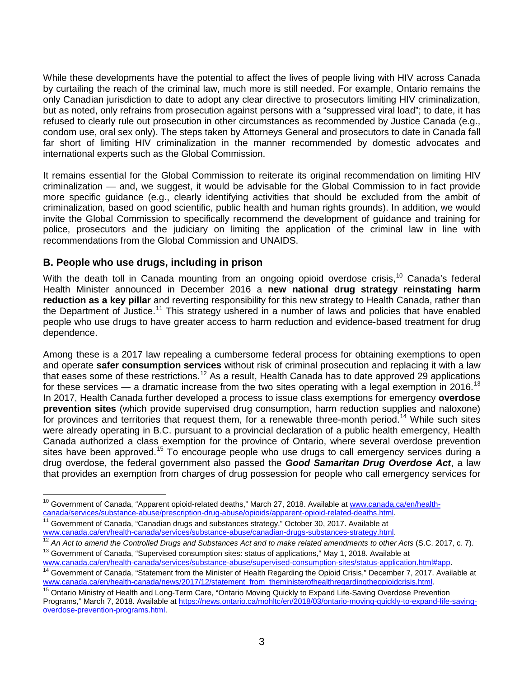While these developments have the potential to affect the lives of people living with HIV across Canada by curtailing the reach of the criminal law, much more is still needed. For example, Ontario remains the only Canadian jurisdiction to date to adopt any clear directive to prosecutors limiting HIV criminalization, but as noted, only refrains from prosecution against persons with a "suppressed viral load"; to date, it has refused to clearly rule out prosecution in other circumstances as recommended by Justice Canada (e.g., condom use, oral sex only). The steps taken by Attorneys General and prosecutors to date in Canada fall far short of limiting HIV criminalization in the manner recommended by domestic advocates and international experts such as the Global Commission.

It remains essential for the Global Commission to reiterate its original recommendation on limiting HIV criminalization — and, we suggest, it would be advisable for the Global Commission to in fact provide more specific guidance (e.g., clearly identifying activities that should be excluded from the ambit of criminalization, based on good scientific, public health and human rights grounds). In addition, we would invite the Global Commission to specifically recommend the development of guidance and training for police, prosecutors and the judiciary on limiting the application of the criminal law in line with recommendations from the Global Commission and UNAIDS.

#### **B. People who use drugs, including in prison**

 $\overline{1}$ 

With the death toll in Canada mounting from an ongoing opioid overdose crisis,  $10$  Canada's federal Health Minister announced in December 2016 a **new national drug strategy reinstating harm reduction as a key pillar** and reverting responsibility for this new strategy to Health Canada, rather than the Department of Justice.<sup>[11](#page-2-1)</sup> This strategy ushered in a number of laws and policies that have enabled people who use drugs to have greater access to harm reduction and evidence-based treatment for drug dependence.

Among these is a 2017 law repealing a cumbersome federal process for obtaining exemptions to open and operate **safer consumption services** without risk of criminal prosecution and replacing it with a law that eases some of these restrictions.<sup>[12](#page-2-2)</sup> As a result, Health Canada has to date approved 29 applications for these services — a dramatic increase from the two sites operating with a legal exemption in 2016.<sup>[13](#page-2-3)</sup> In 2017, Health Canada further developed a process to issue class exemptions for emergency **overdose prevention sites** (which provide supervised drug consumption, harm reduction supplies and naloxone) for provinces and territories that request them, for a renewable three-month period.<sup>[14](#page-2-4)</sup> While such sites were already operating in B.C. pursuant to a provincial declaration of a public health emergency, Health Canada authorized a class exemption for the province of Ontario, where several overdose prevention sites have been approved.<sup>[15](#page-2-5)</sup> To encourage people who use drugs to call emergency services during a drug overdose, the federal government also passed the *Good Samaritan Drug Overdose Act*, a law that provides an exemption from charges of drug possession for people who call emergency services for

<span id="page-2-0"></span><sup>&</sup>lt;sup>10</sup> Government of Canada, "Apparent opioid-related deaths," March 27, 2018. Available at [www.canada.ca/en/health-](https://www.canada.ca/en/health-canada/services/substance-abuse/prescription-drug-abuse/opioids/apparent-opioid-related-deaths.html)

<span id="page-2-1"></span>[canada/services/substance-abuse/prescription-drug-abuse/opioids/apparent-opioid-related-deaths.html.](https://www.canada.ca/en/health-canada/services/substance-abuse/prescription-drug-abuse/opioids/apparent-opioid-related-deaths.html)<br><sup>[11](https://www.canada.ca/en/health-canada/services/substance-abuse/prescription-drug-abuse/opioids/apparent-opioid-related-deaths.html)</sup> Government of Canada, "Canadian drugs and substances strategy," October 30, 2017. Available at<br>www.canada.ca/en/heal

<span id="page-2-2"></span> $\frac{12}{12}$  $\frac{12}{12}$  $\frac{12}{12}$  An Act to amend the Controlled Drugs and Substances Act and to make related amendments to other Acts (S.C. 2017, c. 7).

<span id="page-2-3"></span><sup>&</sup>lt;sup>13</sup> Government of Canada, "Supervised consumption sites: status of applications," May 1, 2018. Available at www.canada.ca/en/health-canada/services/substance-abuse/supervised-consumption-sites/status-application.html#app.

<span id="page-2-4"></span><sup>&</sup>lt;sup>[14](https://www.canada.ca/en/health-canada/services/substance-abuse/supervised-consumption-sites/status-application.html%23app)</sup> Government of Canada, "Statement from the Minister of Health Regarding the Opioid Crisis," December 7, 2017. Available at www.canada.ca/en/health-canada/news/2017/12/statement from theministerofhealthregardingtheopioi

<span id="page-2-5"></span><sup>&</sup>lt;sup>[15](https://www.canada.ca/en/health-canada/news/2017/12/statement_from_theministerofhealthregardingtheopioidcrisis.html)</sup> Ontario Ministry of Health and Long-Term Care, "Ontario Moving Quickly to Expand Life-Saving Overdose Prevention Programs," March 7, 2018. Available at [https://news.ontario.ca/mohltc/en/2018/03/ontario-moving-quickly-to-expand-life-saving](https://news.ontario.ca/mohltc/en/2018/03/ontario-moving-quickly-to-expand-life-saving-overdose-prevention-programs.html)[overdose-prevention-programs.html.](https://news.ontario.ca/mohltc/en/2018/03/ontario-moving-quickly-to-expand-life-saving-overdose-prevention-programs.html)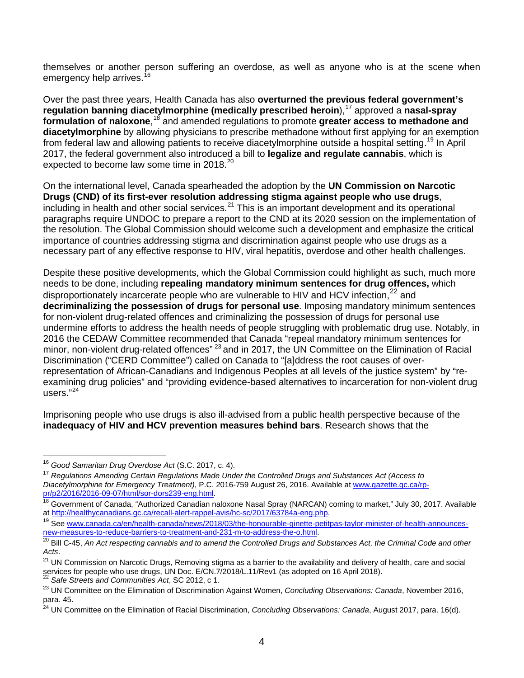themselves or another person suffering an overdose, as well as anyone who is at the scene when emergency help arrives.<sup>[16](#page-3-0)</sup>

Over the past three years, Health Canada has also **overturned the previous federal government's regulation banning diacetylmorphine (medically prescribed heroin), <sup>[17](#page-3-1)</sup> approved a nasal-spray** formulation of naloxone,<sup>[18](#page-3-2)</sup> and amended regulations to promote greater access to methadone and **diacetylmorphine** by allowing physicians to prescribe methadone without first applying for an exemption from federal law and allowing patients to receive diacetylmorphine outside a hospital setting.<sup>[19](#page-3-3)</sup> In April 2017, the federal government also introduced a bill to **legalize and regulate cannabis**, which is expected to become law some time in [20](#page-3-4)18. $^{20}$ 

On the international level, Canada spearheaded the adoption by the **UN Commission on Narcotic Drugs (CND) of its first-ever resolution addressing stigma against people who use drugs**, including in health and other social services.<sup>[21](#page-3-5)</sup> This is an important development and its operational paragraphs require UNDOC to prepare a report to the CND at its 2020 session on the implementation of the resolution. The Global Commission should welcome such a development and emphasize the critical importance of countries addressing stigma and discrimination against people who use drugs as a necessary part of any effective response to HIV, viral hepatitis, overdose and other health challenges.

Despite these positive developments, which the Global Commission could highlight as such, much more needs to be done, including **repealing mandatory minimum sentences for drug offences,** which disproportionately incarcerate people who are vulnerable to HIV and HCV infection,  $^{22}$  $^{22}$  $^{22}$  and **decriminalizing the possession of drugs for personal use**. Imposing mandatory minimum sentences for non-violent drug-related offences and criminalizing the possession of drugs for personal use undermine efforts to address the health needs of people struggling with problematic drug use. Notably, in 2016 the CEDAW Committee recommended that Canada "repeal mandatory minimum sentences for minor, non-violent drug-related offences<sup>" [23](#page-3-7)</sup> and in 2017, the UN Committee on the Elimination of Racial Discrimination ("CERD Committee") called on Canada to "[a]ddress the root causes of overrepresentation of African-Canadians and Indigenous Peoples at all levels of the justice system" by "reexamining drug policies" and "providing evidence-based alternatives to incarceration for non-violent drug users." [24](#page-3-8)

Imprisoning people who use drugs is also ill-advised from a public health perspective because of the **inadequacy of HIV and HCV prevention measures behind bars**. Research shows that the

<span id="page-3-0"></span><sup>16</sup> *Good Samaritan Drug Overdose Act* (S.C. 2017, c. 4).

<span id="page-3-1"></span><sup>17</sup> *Regulations Amending Certain Regulations Made Under the Controlled Drugs and Substances Act (Access to*  Diacetylmorphine for Emergency Treatment), P.C. 2016-759 August 26, 2016. Available at www.gazette.gc.ca/rp-<br>pr/p2/2016/2016-09-07/html/sor-dors239-eng.html.

<span id="page-3-2"></span><sup>&</sup>lt;sup>[18](http://www.gazette.gc.ca/rp-pr/p2/2016/2016-09-07/html/sor-dors239-eng.html)</sup> Government of Canada, "Authorized Canadian naloxone Nasal Spray (NARCAN) coming to market," July 30, 2017. Available<br>at http://healthycanadians.gc.ca/recall-alert-rappel-avis/hc-sc/2017/63784a-eng.php.

<span id="page-3-3"></span><sup>&</sup>lt;sup>19</sup> See www.canada.ca/en/health-canada/news/2018/03/the-honourable-ginette-petitpas-taylor-minister-of-health-announces-<br>new-measures-to-reduce-barriers-to-treatment-and-231-m-to-address-the-o.html.

<span id="page-3-4"></span><sup>&</sup>lt;sup>[20](https://www.canada.ca/en/health-canada/news/2018/03/the-honourable-ginette-petitpas-taylor-minister-of-health-announces-new-measures-to-reduce-barriers-to-treatment-and-231-m-to-address-the-o.html)</sup> Bill C-45, An Act respecting cannabis and to amend the Controlled Drugs and Substances Act, the Criminal Code and other *Acts*.

<span id="page-3-5"></span> $21$  UN Commission on Narcotic Drugs, Removing stigma as a barrier to the availability and delivery of health, care and social services for people who use drugs, UN Doc. E/CN.7/2018/L.11/Rev1 (as adopted on 16 April 2018).<br><sup>22</sup> Safe Streets and Communities Act, SC 2012, c 1.

<span id="page-3-7"></span><span id="page-3-6"></span><sup>23</sup> UN Committee on the Elimination of Discrimination Against Women, *Concluding Observations: Canada*, November 2016, para. 45.

<span id="page-3-8"></span><sup>24</sup> UN Committee on the Elimination of Racial Discrimination, *Concluding Observations: Canada*, August 2017, para. 16(d).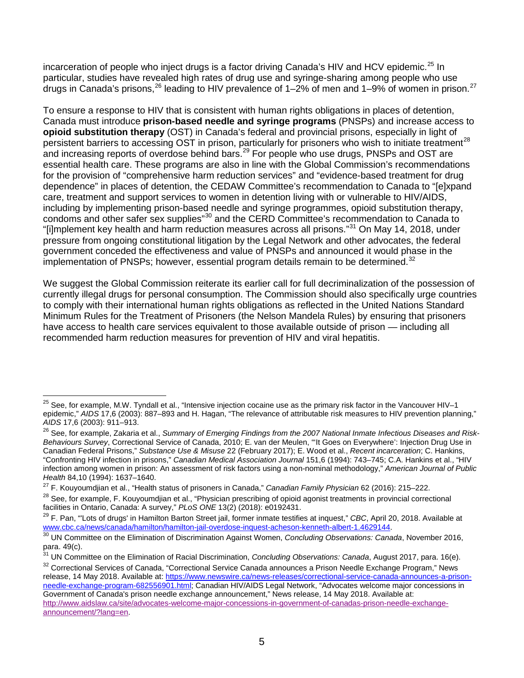incarceration of people who inject drugs is a factor driving Canada's HIV and HCV epidemic.<sup>[25](#page-4-0)</sup> In particular, studies have revealed high rates of drug use and syringe-sharing among people who use drugs in Canada's prisons,  $^{26}$  $^{26}$  $^{26}$  leading to HIV prevalence of 1–2% of men and 1–9% of women in prison.  $^{27}$  $^{27}$  $^{27}$ 

To ensure a response to HIV that is consistent with human rights obligations in places of detention, Canada must introduce **prison-based needle and syringe programs** (PNSPs) and increase access to **opioid substitution therapy** (OST) in Canada's federal and provincial prisons, especially in light of persistent barriers to accessing OST in prison, particularly for prisoners who wish to initiate treatment<sup>[28](#page-4-3)</sup> and increasing reports of overdose behind bars.<sup>[29](#page-4-4)</sup> For people who use drugs, PNSPs and OST are essential health care. These programs are also in line with the Global Commission's recommendations for the provision of "comprehensive harm reduction services" and "evidence-based treatment for drug dependence" in places of detention, the CEDAW Committee's recommendation to Canada to "[e]xpand care, treatment and support services to women in detention living with or vulnerable to HIV/AIDS, including by implementing prison-based needle and syringe programmes, opioid substitution therapy, condoms and other safer sex supplies"[30](#page-4-5) and the CERD Committee's recommendation to Canada to "[i]mplement key health and harm reduction measures across all prisons."<sup>[31](#page-4-6)</sup> On May 14, 2018, under pressure from ongoing constitutional litigation by the Legal Network and other advocates, the federal government conceded the effectiveness and value of PNSPs and announced it would phase in the implementation of PNSPs; however, essential program details remain to be determined. $32$ 

We suggest the Global Commission reiterate its earlier call for full decriminalization of the possession of currently illegal drugs for personal consumption. The Commission should also specifically urge countries to comply with their international human rights obligations as reflected in the United Nations Standard Minimum Rules for the Treatment of Prisoners (the Nelson Mandela Rules) by ensuring that prisoners have access to health care services equivalent to those available outside of prison — including all recommended harm reduction measures for prevention of HIV and viral hepatitis.

<span id="page-4-0"></span> $^{25}$  See, for example, M.W. Tyndall et al., "Intensive injection cocaine use as the primary risk factor in the Vancouver HIV–1 epidemic," *AIDS* 17,6 (2003): 887–893 and H. Hagan, "The relevance of attributable risk measures to HIV prevention planning," *AIDS* 17,6 (2003): 911–913.  $\overline{\phantom{a}}$ 

<span id="page-4-1"></span><sup>&</sup>lt;sup>26</sup> See, for example, Zakaria et al., Summary of Emerging Findings from the 2007 National Inmate Infectious Diseases and Risk-*Behaviours Survey*, Correctional Service of Canada, 2010; E. van der Meulen, "'It Goes on Everywhere': Injection Drug Use in Canadian Federal Prisons," *Substance Use & Misuse* 22 (February 2017); E. Wood et al., *Recent incarceration*; C. Hankins, "Confronting HIV infection in prisons," *Canadian Medical Association Journal* 151,6 (1994): 743–745; C.A. Hankins et al., "HIV infection among women in prison: An assessment of risk factors using a non-nominal methodology," *American Journal of Public Health* 84,10 (1994): 1637–1640.

<span id="page-4-2"></span><sup>27</sup> F. Kouyoumdjian et al., "Health status of prisoners in Canada," *Canadian Family Physician* 62 (2016): 215–222.

<span id="page-4-3"></span><sup>&</sup>lt;sup>28</sup> See, for example, F. Kouyoumdjian et al., "Physician prescribing of opioid agonist treatments in provincial correctional facilities in Ontario, Canada: A survey," *PLoS ONE* 13(2) (2018): e0192431.

<span id="page-4-4"></span><sup>&</sup>lt;sup>29</sup> F. Pan, "'Lots of drugs' in Hamilton Barton Street jail, former inmate testifies at inquest," *CBC*, April 20, 2018. Available at www.cbc.ca/news/canada/hamilton/hamilton-jail-overdose-inquest-acheson-kenneth-albert-1

<span id="page-4-5"></span>[<sup>30</sup>](http://www.cbc.ca/news/canada/hamilton/hamilton-jail-overdose-inquest-acheson-kenneth-albert-1.4629144) UN Committee on the Elimination of Discrimination Against Women, Concluding Observations: Canada, November 2016, para. 49(c).

<span id="page-4-6"></span><sup>31</sup> UN Committee on the Elimination of Racial Discrimination, *Concluding Observations: Canada*, August 2017, para. 16(e).

<span id="page-4-7"></span><sup>&</sup>lt;sup>32</sup> Correctional Services of Canada, "Correctional Service Canada announces a Prison Needle Exchange Program," News release, 14 May 2018. Available at[: https://www.newswire.ca/news-releases/correctional-service-canada-announces-a-prison](https://www.newswire.ca/news-releases/correctional-service-canada-announces-a-prison-needle-exchange-program-682556901.html)[needle-exchange-program-682556901.html;](https://www.newswire.ca/news-releases/correctional-service-canada-announces-a-prison-needle-exchange-program-682556901.html) Canadian HIV/AIDS Legal Network, "Advocates welcome major concessions in Government of Canada's prison needle exchange announcement," News release, 14 May 2018. Available at: [http://www.aidslaw.ca/site/advocates-welcome-major-concessions-in-government-of-canadas-prison-needle-exchange](http://www.aidslaw.ca/site/advocates-welcome-major-concessions-in-government-of-canadas-prison-needle-exchange-announcement/?lang=en)[announcement/?lang=en.](http://www.aidslaw.ca/site/advocates-welcome-major-concessions-in-government-of-canadas-prison-needle-exchange-announcement/?lang=en)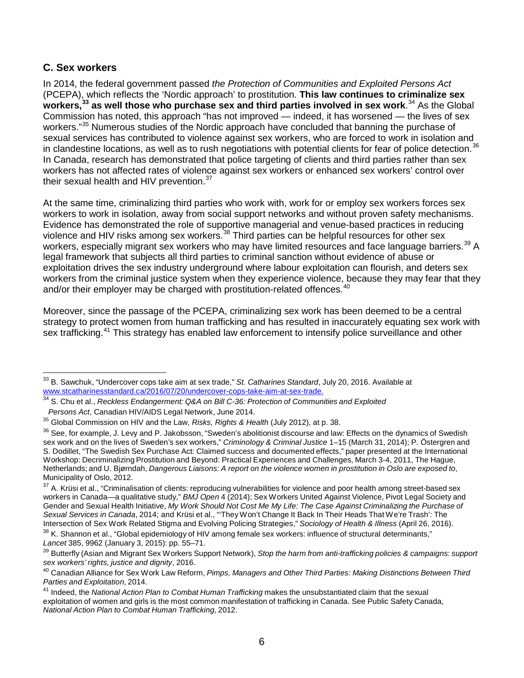### **C. Sex workers**

In 2014, the federal government passed *the Protection of Communities and Exploited Persons Act* (PCEPA), which reflects the 'Nordic approach' to prostitution. **This law continues to criminalize sex workers,[33](#page-5-0) as well those who purchase sex and third parties involved in sex work**. [34](#page-5-1) As the Global Commission has noted, this approach "has not improved — indeed, it has worsened — the lives of sex workers."<sup>[35](#page-5-2)</sup> Numerous studies of the Nordic approach have concluded that banning the purchase of sexual services has contributed to violence against sex workers, who are forced to work in isolation and in clandestine locations, as well as to rush negotiations with potential clients for fear of police detection. $36$ In Canada, research has demonstrated that police targeting of clients and third parties rather than sex workers has not affected rates of violence against sex workers or enhanced sex workers' control over their sexual health and HIV prevention.<sup>[37](#page-5-4)</sup>

At the same time, criminalizing third parties who work with, work for or employ sex workers forces sex workers to work in isolation, away from social support networks and without proven safety mechanisms. Evidence has demonstrated the role of supportive managerial and venue-based practices in reducing violence and HIV risks among sex workers.<sup>[38](#page-5-5)</sup> Third parties can be helpful resources for other sex workers, especially migrant sex workers who may have limited resources and face language barriers.<sup>[39](#page-5-6)</sup> A legal framework that subjects all third parties to criminal sanction without evidence of abuse or exploitation drives the sex industry underground where labour exploitation can flourish, and deters sex workers from the criminal justice system when they experience violence, because they may fear that they and/or their employer may be charged with prostitution-related offences.<sup>[40](#page-5-7)</sup>

Moreover, since the passage of the PCEPA, criminalizing sex work has been deemed to be a central strategy to protect women from human trafficking and has resulted in inaccurately equating sex work with sex trafficking.<sup>[41](#page-5-8)</sup> This strategy has enabled law enforcement to intensify police surveillance and other

<span id="page-5-0"></span><sup>33</sup> B. Sawchuk, "Undercover cops take aim at sex trade," *St. Catharines Standard*, July 20, 2016. Available at [www.stcatharinesstandard.ca/2016/07/20/undercover-cops-take-aim-at-sex-trade.](http://www.stcatharinesstandard.ca/2016/07/20/undercover-cops-take-aim-at-sex-trade.)  $\overline{a}$ 

<span id="page-5-1"></span><sup>34</sup> S. Chu et al., *Reckless Endangerment: Q&A on Bill C-36: Protection of Communities and Exploited Persons Act*, Canadian HIV/AIDS Legal Network, June 2014.

<span id="page-5-2"></span><sup>35</sup> Global Commission on HIV and the Law, *Risks, Rights & Health* (July 2012), at p. 38.

<span id="page-5-3"></span> $36$  See, for example, J. Levy and P. Jakobsson, "Sweden's abolitionist discourse and law: Effects on the dynamics of Swedish sex work and on the lives of Sweden's sex workers," *Criminology & Criminal Justice* 1–15 (March 31, 2014); P. Östergren and S. Dodillet, "The Swedish Sex Purchase Act: Claimed success and documented effects," paper presented at the International Workshop: Decriminalizing Prostitution and Beyond: Practical Experiences and Challenges, March 3-4, 2011, The Hague, Netherlands; and U. Bjørndah, *Dangerous Liaisons: A report on the violence women in prostitution in Oslo are exposed to*, Municipality of Oslo, 2012.

<span id="page-5-4"></span> $37$  A. Krüsi et al., "Criminalisation of clients: reproducing vulnerabilities for violence and poor health among street-based sex workers in Canada—a qualitative study," *BMJ Open* 4 (2014); Sex Workers United Against Violence, Pivot Legal Society and Gender and Sexual Health Initiative, *My Work Should Not Cost Me My Life: The Case Against Criminalizing the Purchase of Sexual Services in Canada*, 2014; and Krüsi et al., "'TheyWon't Change It Back In Their Heads That We're Trash': The Intersection of Sex Work Related Stigma and Evolving Policing Strategies," *Sociology of Health & Illness* (April 26, 2016).

<span id="page-5-5"></span> $38$  K. Shannon et al., "Global epidemiology of HIV among female sex workers: influence of structural determinants," *Lancet* 385, 9962 (January 3, 2015): pp. 55–71.

<span id="page-5-6"></span><sup>39</sup> Butterfly (Asian and Migrant Sex Workers Support Network), *Stop the harm from anti-trafficking policies & campaigns: support sex workers' rights, justice and dignity*, 2016.

<span id="page-5-7"></span><sup>40</sup> Canadian Alliance for Sex Work Law Reform, *Pimps, Managers and Other Third Parties: Making Distinctions Between Third Parties and Exploitation*, 2014.

<span id="page-5-8"></span><sup>41</sup> Indeed, the *National Action Plan to Combat Human Trafficking* makes the unsubstantiated claim that the sexual exploitation of women and girls is the most common manifestation of trafficking in Canada. See Public Safety Canada, *National Action Plan to Combat Human Trafficking*, 2012.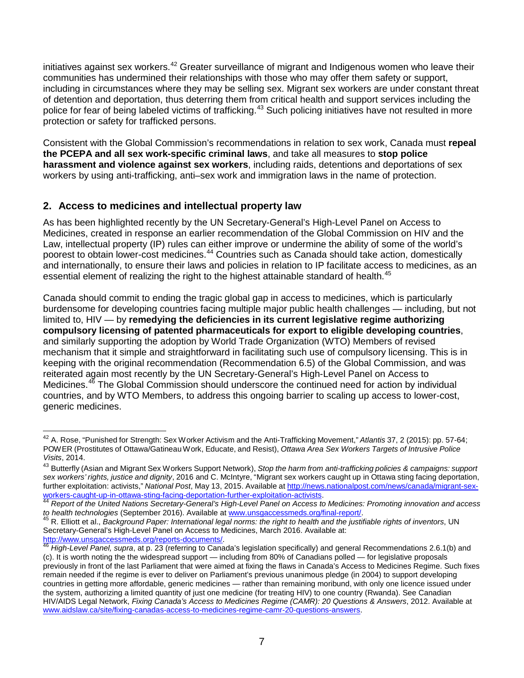initiatives against sex workers.<sup>[42](#page-6-0)</sup> Greater surveillance of migrant and Indigenous women who leave their communities has undermined their relationships with those who may offer them safety or support, including in circumstances where they may be selling sex. Migrant sex workers are under constant threat of detention and deportation, thus deterring them from critical health and support services including the police for fear of being labeled victims of trafficking.<sup>[43](#page-6-1)</sup> Such policing initiatives have not resulted in more protection or safety for trafficked persons.

Consistent with the Global Commission's recommendations in relation to sex work, Canada must **repeal the PCEPA and all sex work-specific criminal laws**, and take all measures to **stop police harassment and violence against sex workers**, including raids, detentions and deportations of sex workers by using anti-trafficking, anti–sex work and immigration laws in the name of protection.

# **2. Access to medicines and intellectual property law**

As has been highlighted recently by the UN Secretary-General's High-Level Panel on Access to Medicines, created in response an earlier recommendation of the Global Commission on HIV and the Law, intellectual property (IP) rules can either improve or undermine the ability of some of the world's poorest to obtain lower-cost medicines.<sup>[44](#page-6-2)</sup> Countries such as Canada should take action, domestically and internationally, to ensure their laws and policies in relation to IP facilitate access to medicines, as an essential element of realizing the right to the highest attainable standard of health.<sup>[45](#page-6-3)</sup>

Canada should commit to ending the tragic global gap in access to medicines, which is particularly burdensome for developing countries facing multiple major public health challenges — including, but not limited to, HIV — by **remedying the deficiencies in its current legislative regime authorizing compulsory licensing of patented pharmaceuticals for export to eligible developing countries**, and similarly supporting the adoption by World Trade Organization (WTO) Members of revised mechanism that it simple and straightforward in facilitating such use of compulsory licensing. This is in keeping with the original recommendation (Recommendation 6.5) of the Global Commission, and was reiterated again most recently by the UN Secretary-General's High-Level Panel on Access to Medicines.<sup>[46](#page-6-4)</sup> The Global Commission should underscore the continued need for action by individual countries, and by WTO Members, to address this ongoing barrier to scaling up access to lower-cost, generic medicines.

<span id="page-6-0"></span><sup>42</sup> A. Rose, "Punished for Strength: Sex Worker Activism and the Anti-Trafficking Movement," *Atlantis* 37, 2 (2015): pp. 57-64; POWER (Prostitutes of Ottawa/GatineauWork, Educate, and Resist), *Ottawa Area Sex Workers Targets of Intrusive Police Visits*, 2014.  $\overline{a}$ 

<span id="page-6-1"></span><sup>43</sup> Butterfly (Asian and Migrant Sex Workers Support Network), *Stop the harm from anti-trafficking policies & campaigns: support sex workers' rights, justice and dignity*, 2016 and C. McIntyre, "Migrant sex workers caught up in Ottawa sting facing deportation, further exploitation: activists," *National Post*, May 13, 2015. Available at [http://news.nationalpost.com/news/canada/migrant-sex](http://nationalpost.com/news/canada/migrant-sex-workers-caught-up-in-ottawa-sting-facing-deportation-further-exploitation-activists)[workers-caught-up-in-ottawa-sting-facing-deportation-further-exploitation-activists.](http://nationalpost.com/news/canada/migrant-sex-workers-caught-up-in-ottawa-sting-facing-deportation-further-exploitation-activists) <sup>44</sup> *Report of the United Nations Secretary-General's High-Level Panel on Access to Medicines: Promoting innovation and access* 

<span id="page-6-2"></span>to health technologies (September 2016). Available at [www.unsgaccessmeds.org/final-report/.](http://www.unsgaccessmeds.org/final-report/)<br><sup>45</sup> R. Elliott et al., *Background Paper: International legal norms: the right to health and the justifiable rights of inventors,* 

<span id="page-6-3"></span>Secretary-General's High-Level Panel on Access to Medicines, March 2016. Available at:<br>http://www.unsgaccessmeds.org/reports-documents/.

<span id="page-6-4"></span>High-Level Panel, supra, at p. 23 (referring to Canada's legislation specifically) and general Recommendations 2.6.1(b) and (c). It is worth noting the the widespread support — including from 80% of Canadians polled — for legislative proposals previously in front of the last Parliament that were aimed at fixing the flaws in Canada's Access to Medicines Regime. Such fixes remain needed if the regime is ever to deliver on Parliament's previous unanimous pledge (in 2004) to support developing countries in getting more affordable, generic medicines — rather than remaining moribund, with only one licence issued under the system, authorizing a limited quantity of just one medicine (for treating HIV) to one country (Rwanda). See Canadian HIV/AIDS Legal Network, *Fixing Canada's Access to Medicines Regime (CAMR): 20 Questions & Answers*, 2012. Available at [www.aidslaw.ca/site/fixing-canadas-access-to-medicines-regime-camr-20-questions-answers.](http://www.aidslaw.ca/site/fixing-canadas-access-to-medicines-regime-camr-20-questions-answers/?lang=en)